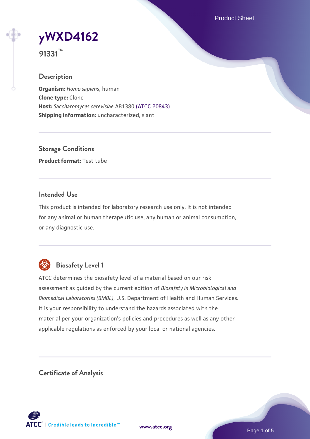Product Sheet



**91331™**

# **Description**

**Organism:** *Homo sapiens*, human **Clone type:** Clone **Host:** *Saccharomyces cerevisiae* AB1380 [\(ATCC 20843\)](https://www.atcc.org/products/20843) **Shipping information:** uncharacterized, slant

**Storage Conditions Product format:** Test tube

# **Intended Use**

This product is intended for laboratory research use only. It is not intended for any animal or human therapeutic use, any human or animal consumption, or any diagnostic use.



# **Biosafety Level 1**

ATCC determines the biosafety level of a material based on our risk assessment as guided by the current edition of *Biosafety in Microbiological and Biomedical Laboratories (BMBL)*, U.S. Department of Health and Human Services. It is your responsibility to understand the hazards associated with the material per your organization's policies and procedures as well as any other applicable regulations as enforced by your local or national agencies.

**Certificate of Analysis**

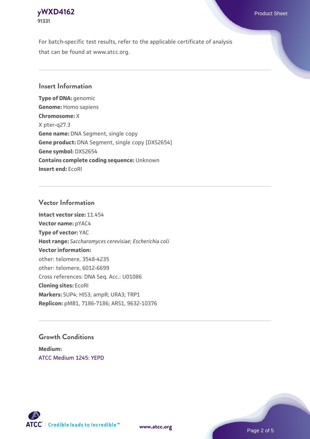# **[yWXD4162](https://www.atcc.org/products/91331)** Product Sheet **91331**

For batch-specific test results, refer to the applicable certificate of analysis that can be found at www.atcc.org.

# **Insert Information**

**Type of DNA:** genomic **Genome:** Homo sapiens **Chromosome:** X X pter-q27.3 **Gene name:** DNA Segment, single copy **Gene product:** DNA Segment, single copy [DXS2654] **Gene symbol:** DXS2654 **Contains complete coding sequence:** Unknown **Insert end:** EcoRI

# **Vector Information**

**Intact vector size:** 11.454 **Vector name:** pYAC4 **Type of vector:** YAC **Host range:** *Saccharomyces cerevisiae*; *Escherichia coli* **Vector information:** other: telomere, 3548-4235 other: telomere, 6012-6699 Cross references: DNA Seq. Acc.: U01086 **Cloning sites:** EcoRI **Markers:** SUP4; HIS3; ampR; URA3; TRP1 **Replicon:** pMB1, 7186-7186; ARS1, 9632-10376

# **Growth Conditions**

**Medium:**  [ATCC Medium 1245: YEPD](https://www.atcc.org/-/media/product-assets/documents/microbial-media-formulations/1/2/4/5/atcc-medium-1245.pdf?rev=705ca55d1b6f490a808a965d5c072196)



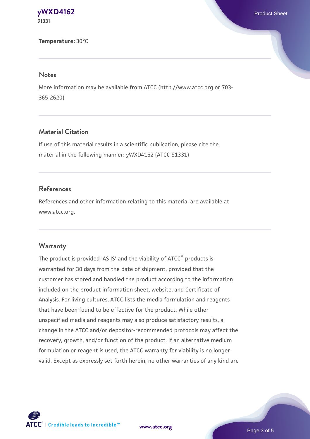#### **[yWXD4162](https://www.atcc.org/products/91331)** Product Sheet **91331**

**Temperature:** 30°C

#### **Notes**

More information may be available from ATCC (http://www.atcc.org or 703- 365-2620).

# **Material Citation**

If use of this material results in a scientific publication, please cite the material in the following manner: yWXD4162 (ATCC 91331)

# **References**

References and other information relating to this material are available at www.atcc.org.

### **Warranty**

The product is provided 'AS IS' and the viability of ATCC® products is warranted for 30 days from the date of shipment, provided that the customer has stored and handled the product according to the information included on the product information sheet, website, and Certificate of Analysis. For living cultures, ATCC lists the media formulation and reagents that have been found to be effective for the product. While other unspecified media and reagents may also produce satisfactory results, a change in the ATCC and/or depositor-recommended protocols may affect the recovery, growth, and/or function of the product. If an alternative medium formulation or reagent is used, the ATCC warranty for viability is no longer valid. Except as expressly set forth herein, no other warranties of any kind are



**[www.atcc.org](http://www.atcc.org)**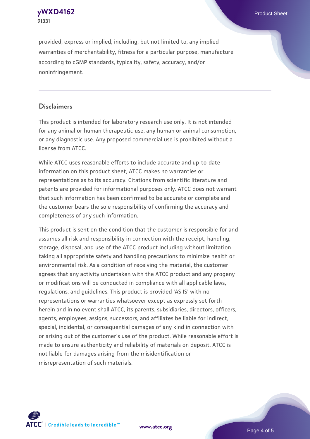**[yWXD4162](https://www.atcc.org/products/91331)** Product Sheet **91331**

provided, express or implied, including, but not limited to, any implied warranties of merchantability, fitness for a particular purpose, manufacture according to cGMP standards, typicality, safety, accuracy, and/or noninfringement.

### **Disclaimers**

This product is intended for laboratory research use only. It is not intended for any animal or human therapeutic use, any human or animal consumption, or any diagnostic use. Any proposed commercial use is prohibited without a license from ATCC.

While ATCC uses reasonable efforts to include accurate and up-to-date information on this product sheet, ATCC makes no warranties or representations as to its accuracy. Citations from scientific literature and patents are provided for informational purposes only. ATCC does not warrant that such information has been confirmed to be accurate or complete and the customer bears the sole responsibility of confirming the accuracy and completeness of any such information.

This product is sent on the condition that the customer is responsible for and assumes all risk and responsibility in connection with the receipt, handling, storage, disposal, and use of the ATCC product including without limitation taking all appropriate safety and handling precautions to minimize health or environmental risk. As a condition of receiving the material, the customer agrees that any activity undertaken with the ATCC product and any progeny or modifications will be conducted in compliance with all applicable laws, regulations, and guidelines. This product is provided 'AS IS' with no representations or warranties whatsoever except as expressly set forth herein and in no event shall ATCC, its parents, subsidiaries, directors, officers, agents, employees, assigns, successors, and affiliates be liable for indirect, special, incidental, or consequential damages of any kind in connection with or arising out of the customer's use of the product. While reasonable effort is made to ensure authenticity and reliability of materials on deposit, ATCC is not liable for damages arising from the misidentification or misrepresentation of such materials.



**[www.atcc.org](http://www.atcc.org)**

Page 4 of 5